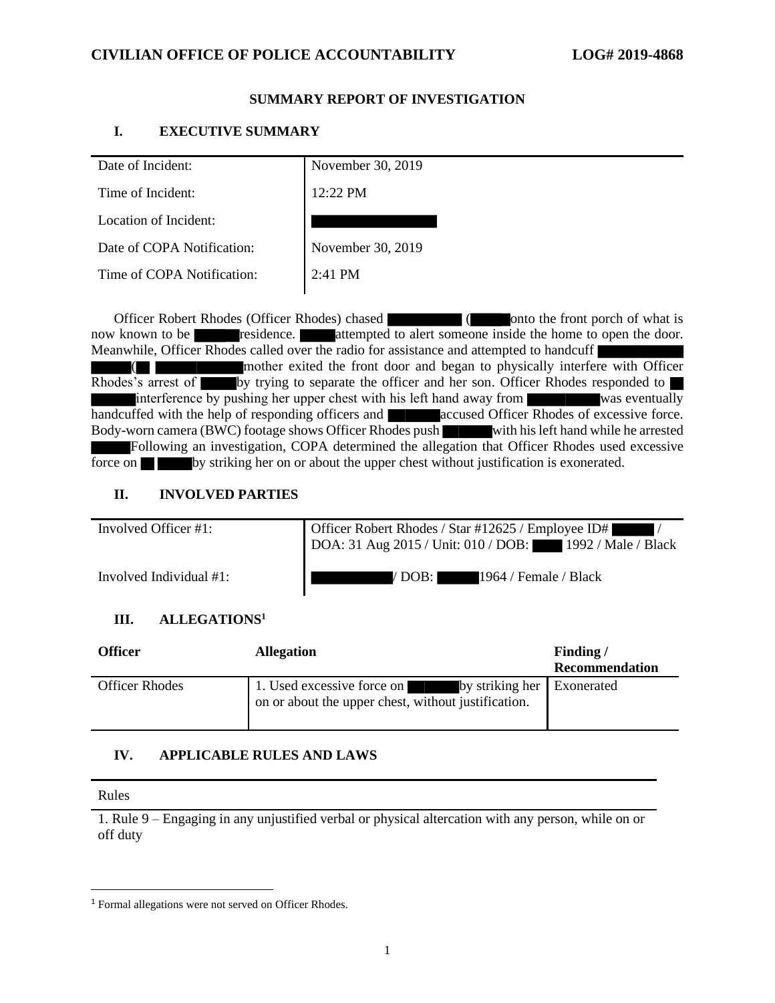## **CIVILIAN OFFICE OF POLICE ACCOUNTABILITY LOG# 2019-4868**

## **SUMMARY REPORT OF INVESTIGATION**

## **I. EXECUTIVE SUMMARY**

| Date of Incident:          | November 30, 2019 |
|----------------------------|-------------------|
| Time of Incident:          | 12:22 PM          |
| Location of Incident:      |                   |
| Date of COPA Notification: | November 30, 2019 |
| Time of COPA Notification: | 2:41 PM           |
|                            |                   |

Officer Robert Rhodes (Officer Rhodes) chased ( onto the front porch of what is now known to be residence. attempted to alert someone inside the home to open the door. Meanwhile, Officer Rhodes called over the radio for assistance and attempted to handcuff mother exited the front door and began to physically interfere with Officer Rhodes's arrest of by trying to separate the officer and her son. Officer Rhodes responded to interference by pushing her upper chest with his left hand away from was eventually used with the help of responding officers and accused Officer Rhodes of excessive force. handcuffed with the help of responding officers and  $\blacksquare$ Body-worn camera (BWC) footage shows Officer Rhodes push with his left hand while he arrested Following an investigation, COPA determined the allegation that Officer Rhodes used excessive force on **by** striking her on or about the upper chest without justification is exonerated.

## **II. INVOLVED PARTIES**

| Involved Officer #1:    | Officer Robert Rhodes / Star #12625 / Employee ID#<br>DOA: 31 Aug 2015 / Unit: 010 / DOB: 1992 / Male / Black |
|-------------------------|---------------------------------------------------------------------------------------------------------------|
| Involved Individual #1: | 1964 / Female / Black<br>/ DOB: I                                                                             |

# **III. ALLEGATIONS<sup>1</sup>**

| <b>Officer</b>        | <b>Allegation</b>                                                                                            | Finding/<br><b>Recommendation</b> |
|-----------------------|--------------------------------------------------------------------------------------------------------------|-----------------------------------|
| <b>Officer Rhodes</b> | 1. Used excessive force on by striking her Exonerated<br>on or about the upper chest, without justification. |                                   |

# **IV. APPLICABLE RULES AND LAWS**

#### Rules

1. Rule 9 – Engaging in any unjustified verbal or physical altercation with any person, while on or off duty

<sup>1</sup> Formal allegations were not served on Officer Rhodes.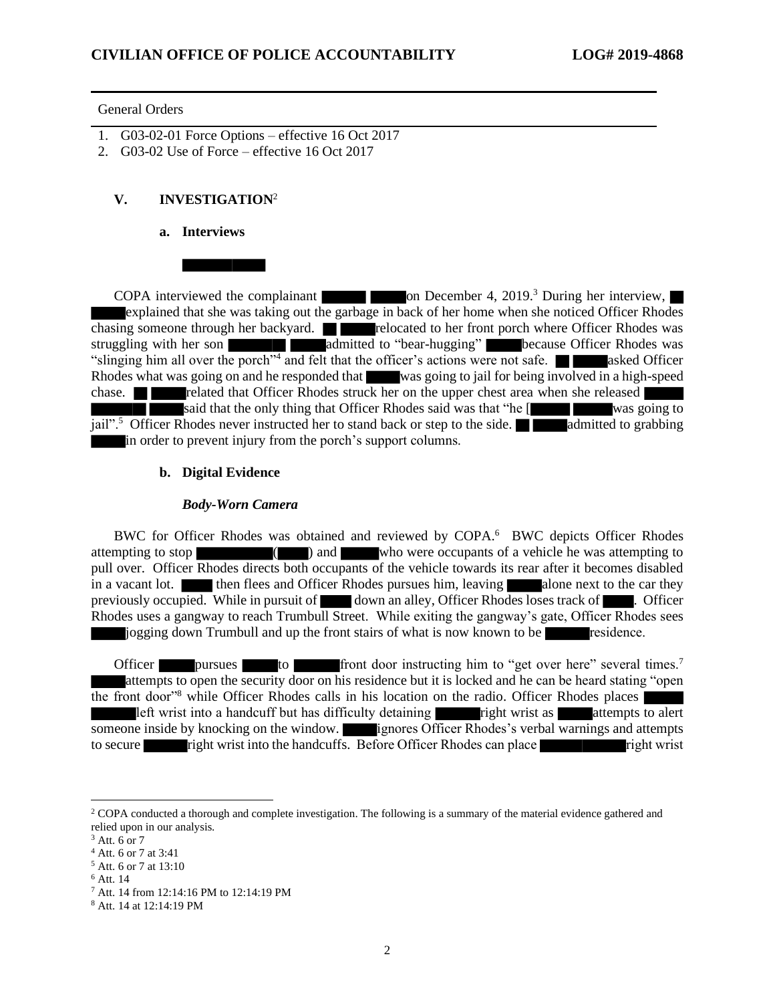#### General Orders

- 1. G03-02-01 Force Options effective 16 Oct 2017
- 2. G03-02 Use of Force effective 16 Oct 2017

## **V. INVESTIGATION**<sup>2</sup>

#### **a. Interviews**

COPA interviewed the complainant  $\Box$  on December 4, 2019.<sup>3</sup> During her interview, explained that she was taking out the garbage in back of her home when she noticed Officer Rhodes chasing someone through her backyard. **relocated to her front porch where Officer Rhodes was** struggling with her son admitted to "bear-hugging" because Officer Rhodes was "slinging him all over the porch"<sup>4</sup> and felt that the officer's actions were not safe. **All cases asked Officer** Rhodes what was going on and he responded that was going to jail for being involved in a high-speed chase. **related that Officer Rhodes struck her on the upper chest area when she released** said that the only thing that Officer Rhodes said was that "he [ was going to jail".<sup>5</sup> Officer Rhodes never instructed her to stand back or step to the side. **All admitted to grabbing** in order to prevent injury from the porch's support columns.

#### **b. Digital Evidence**

#### *Body-Worn Camera*

BWC for Officer Rhodes was obtained and reviewed by COPA.<sup>6</sup> BWC depicts Officer Rhodes attempting to stop ( ) and who were occupants of a vehicle he was attempting to pull over. Officer Rhodes directs both occupants of the vehicle towards its rear after it becomes disabled in a vacant lot. **then flees and Officer Rhodes pursues him, leaving alone next to the car they** previously occupied. While in pursuit of down an alley, Officer Rhodes loses track of  $\blacksquare$ . Officer Rhodes uses a gangway to reach Trumbull Street. While exiting the gangway's gate, Officer Rhodes sees jogging down Trumbull and up the front stairs of what is now known to be residence.

Officer pursues to front door instructing him to "get over here" several times.<sup>7</sup> attempts to open the security door on his residence but it is locked and he can be heard stating "open the front door"<sup>8</sup> while Officer Rhodes calls in his location on the radio. Officer Rhodes places left wrist into a handcuff but has difficulty detaining  $\blacksquare$  right wrist as  $\blacksquare$  attempts to alert someone inside by knocking on the window. ignores Officer Rhodes's verbal warnings and attempts to secure right wrist into the handcuffs. Before Officer Rhodes can place right wrist

<sup>&</sup>lt;sup>2</sup> COPA conducted a thorough and complete investigation. The following is a summary of the material evidence gathered and relied upon in our analysis.

 $3$  Att. 6 or 7

<sup>4</sup> Att. 6 or 7 at 3:41

<sup>5</sup> Att. 6 or 7 at 13:10

<sup>6</sup> Att. 14

<sup>7</sup> Att. 14 from 12:14:16 PM to 12:14:19 PM

<sup>8</sup> Att. 14 at 12:14:19 PM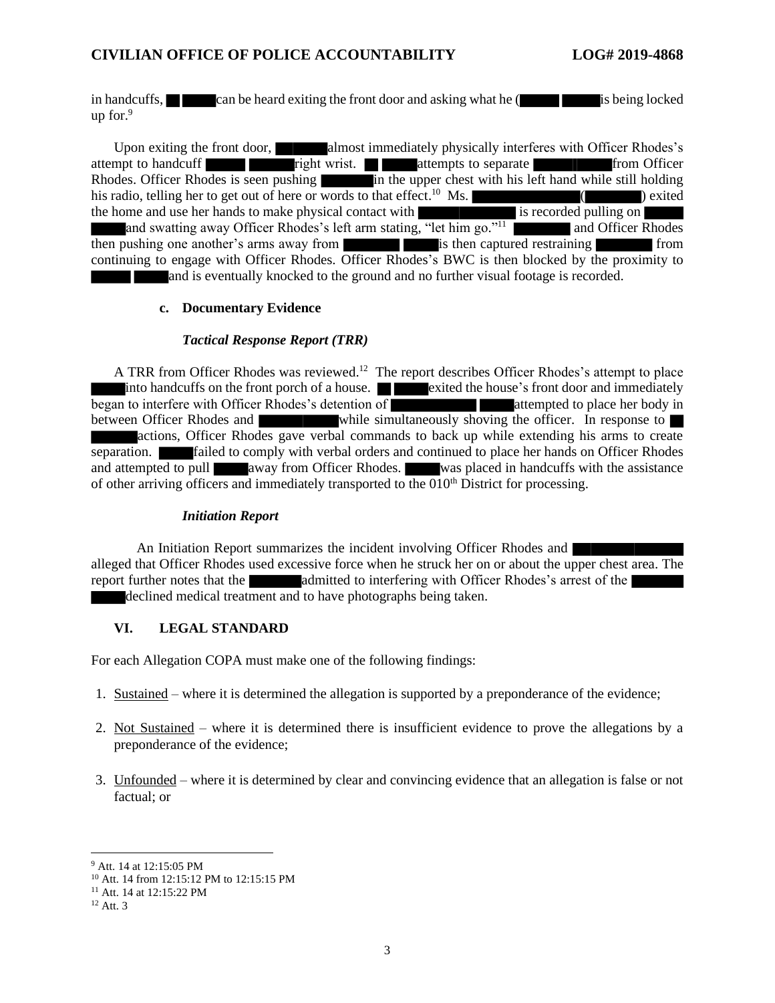## **CIVILIAN OFFICE OF POLICE ACCOUNTABILITY LOG# 2019-4868**

in handcuffs, can be heard exiting the front door and asking what he (is being locked up for. $9$ 

Upon exiting the front door, almost immediately physically interferes with Officer Rhodes's attempt to handcuff right wrist. attempts to separate from Officer Rhodes. Officer Rhodes is seen pushing in the upper chest with his left hand while still holding his radio, telling her to get out of here or words to that effect.<sup>10</sup> Ms.  $($ the home and use her hands to make physical contact with is recorded pulling on and swatting away Officer Rhodes's left arm stating, "let him go."<sup>11</sup> and Officer Rhodes then pushing one another's arms away from is then captured restraining from continuing to engage with Officer Rhodes. Officer Rhodes's BWC is then blocked by the proximity to and is eventually knocked to the ground and no further visual footage is recorded.

## **c. Documentary Evidence**

#### *Tactical Response Report (TRR)*

A TRR from Officer Rhodes was reviewed.<sup>12</sup> The report describes Officer Rhodes's attempt to place into handcuffs on the front porch of a house. **Exited the house's front door and immediately** began to interfere with Officer Rhodes's detention of attempted to place her body in between Officer Rhodes and while simultaneously shoving the officer. In response to actions, Officer Rhodes gave verbal commands to back up while extending his arms to create separation. **Failed to comply with verbal orders and continued to place her hands on Officer Rhodes** and attempted to pull away from Officer Rhodes. was placed in handcuffs with the assistance of other arriving officers and immediately transported to the  $010<sup>th</sup>$  District for processing.

## *Initiation Report*

An Initiation Report summarizes the incident involving Officer Rhodes and alleged that Officer Rhodes used excessive force when he struck her on or about the upper chest area. The report further notes that the admitted to interfering with Officer Rhodes's arrest of the declined medical treatment and to have photographs being taken.

## **VI. LEGAL STANDARD**

For each Allegation COPA must make one of the following findings:

- 1. Sustained where it is determined the allegation is supported by a preponderance of the evidence;
- 2. Not Sustained where it is determined there is insufficient evidence to prove the allegations by a preponderance of the evidence;
- 3. Unfounded where it is determined by clear and convincing evidence that an allegation is false or not factual; or

<sup>9</sup> Att. 14 at 12:15:05 PM

<sup>10</sup> Att. 14 from 12:15:12 PM to 12:15:15 PM

<sup>&</sup>lt;sup>11</sup> Att. 14 at 12:15:22 PM

 $12$  Att. 3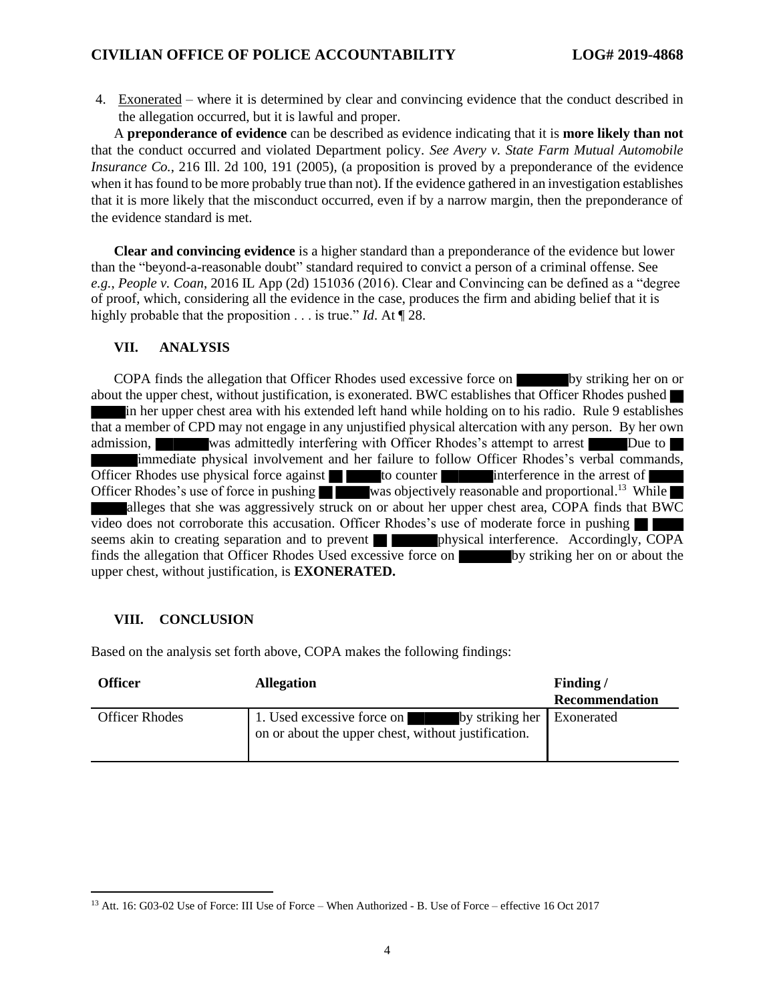4. Exonerated – where it is determined by clear and convincing evidence that the conduct described in the allegation occurred, but it is lawful and proper.

A **preponderance of evidence** can be described as evidence indicating that it is **more likely than not** that the conduct occurred and violated Department policy. *See Avery v. State Farm Mutual Automobile Insurance Co.*, 216 Ill. 2d 100, 191 (2005), (a proposition is proved by a preponderance of the evidence when it has found to be more probably true than not). If the evidence gathered in an investigation establishes that it is more likely that the misconduct occurred, even if by a narrow margin, then the preponderance of the evidence standard is met.

**Clear and convincing evidence** is a higher standard than a preponderance of the evidence but lower than the "beyond-a-reasonable doubt" standard required to convict a person of a criminal offense. See *e.g.*, *People v. Coan*, 2016 IL App (2d) 151036 (2016). Clear and Convincing can be defined as a "degree of proof, which, considering all the evidence in the case, produces the firm and abiding belief that it is highly probable that the proposition . . . is true." *Id*. At ¶ 28.

#### **VII. ANALYSIS**

COPA finds the allegation that Officer Rhodes used excessive force on by striking her on or about the upper chest, without justification, is exonerated. BWC establishes that Officer Rhodes pushed in her upper chest area with his extended left hand while holding on to his radio. Rule 9 establishes that a member of CPD may not engage in any unjustified physical altercation with any person. By her own admission, was admittedly interfering with Officer Rhodes's attempt to arrest Due to immediate physical involvement and her failure to follow Officer Rhodes's verbal commands, Officer Rhodes use physical force against  $\Box$  to counter interference in the arrest of Officer Rhodes's use of force in pushing was objectively reasonable and proportional.<sup>13</sup> While alleges that she was aggressively struck on or about her upper chest area, COPA finds that BWC video does not corroborate this accusation. Officer Rhodes's use of moderate force in pushing seems akin to creating separation and to prevent physical interference. Accordingly, COPA finds the allegation that Officer Rhodes Used excessive force on by striking her on or about the upper chest, without justification, is **EXONERATED.**

## **VIII. CONCLUSION**

Based on the analysis set forth above, COPA makes the following findings:

| Officer               | <b>Allegation</b>                                                                                               | Finding/<br><b>Recommendation</b> |
|-----------------------|-----------------------------------------------------------------------------------------------------------------|-----------------------------------|
| <b>Officer Rhodes</b> | 1. Used excessive force on<br>by striking her Exonerated<br>on or about the upper chest, without justification. |                                   |

<sup>13</sup> Att. 16: G03-02 Use of Force: III Use of Force – When Authorized - B. Use of Force – effective 16 Oct 2017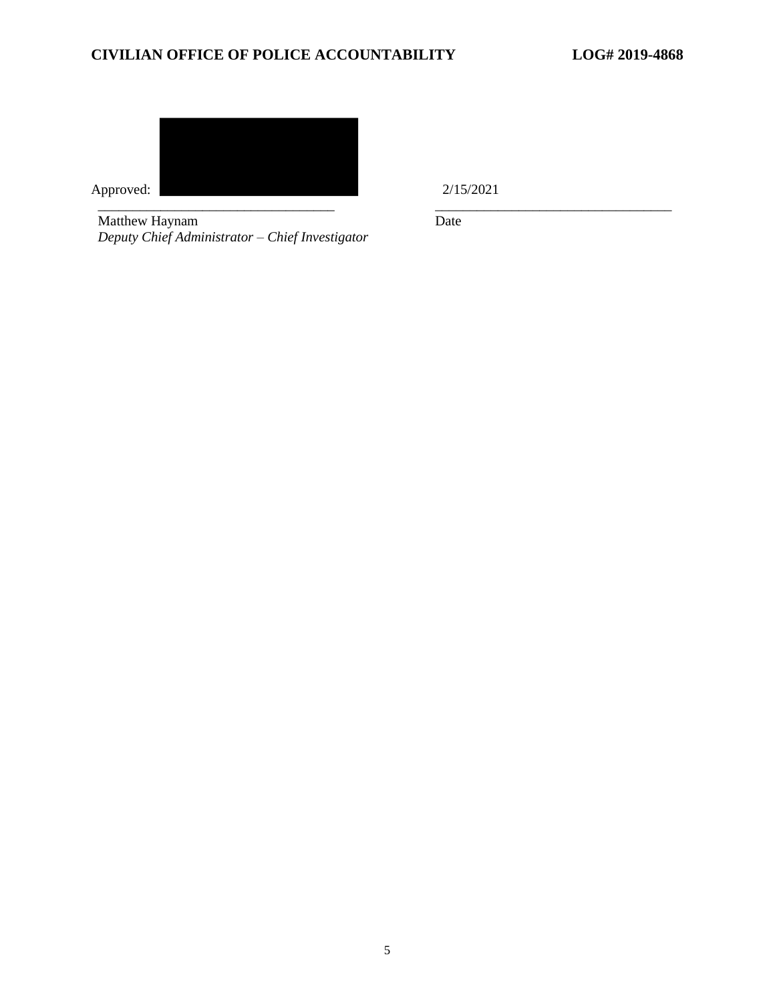# **CIVILIAN OFFICE OF POLICE ACCOUNTABILITY LOG# 2019-4868**



Matthew Haynam *Deputy Chief Administrator – Chief Investigator* Date